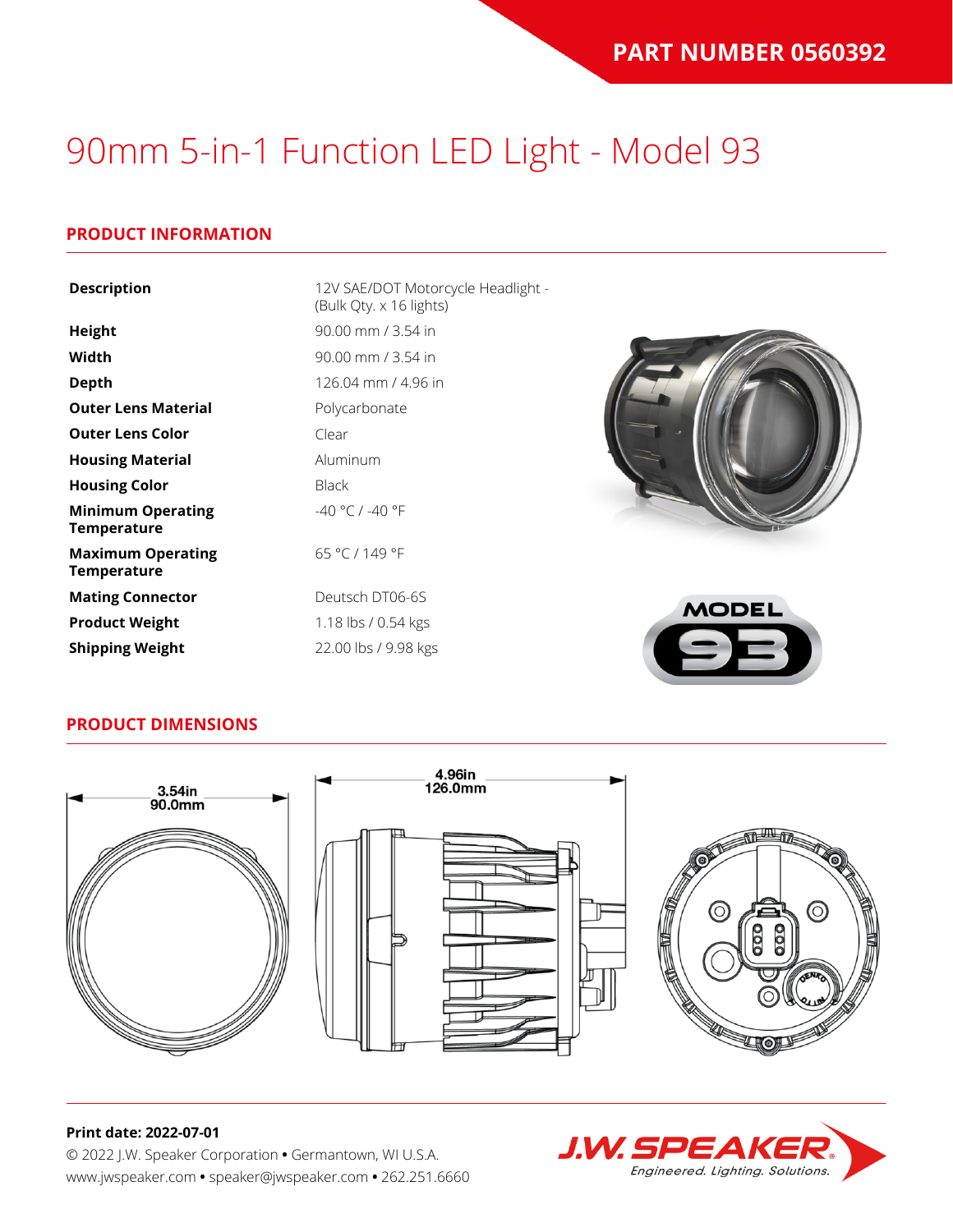### **PRODUCT INFORMATION**

| <b>Description</b>                             | 12V SAE/DOT Motorcycle Headlight -<br>(Bulk Qty. x 16 lights) |              |
|------------------------------------------------|---------------------------------------------------------------|--------------|
| Height                                         | 90.00 mm / 3.54 in                                            |              |
| Width                                          | 90.00 mm / 3.54 in                                            |              |
| <b>Depth</b>                                   | 126.04 mm / 4.96 in                                           |              |
| <b>Outer Lens Material</b>                     | Polycarbonate                                                 |              |
| <b>Outer Lens Color</b>                        | Clear                                                         |              |
| <b>Housing Material</b>                        | Aluminum                                                      |              |
| <b>Housing Color</b>                           | <b>Black</b>                                                  |              |
| <b>Minimum Operating</b><br><b>Temperature</b> | $-40 °C / -40 °F$                                             |              |
| <b>Maximum Operating</b><br>Temperature        | 65 °C / 149 °F                                                |              |
| <b>Mating Connector</b>                        | Deutsch DT06-6S                                               | <b>MODEL</b> |
| <b>Product Weight</b>                          | 1.18 lbs / 0.54 kgs                                           |              |
| <b>Shipping Weight</b>                         | 22.00 lbs / 9.98 kgs                                          |              |

### **PRODUCT DIMENSIONS**



#### **Print date: 2022-07-01**

© 2022 J.W. Speaker Corporation **•** Germantown, WI U.S.A. www.jwspeaker.com **•** speaker@jwspeaker.com **•** 262.251.6660

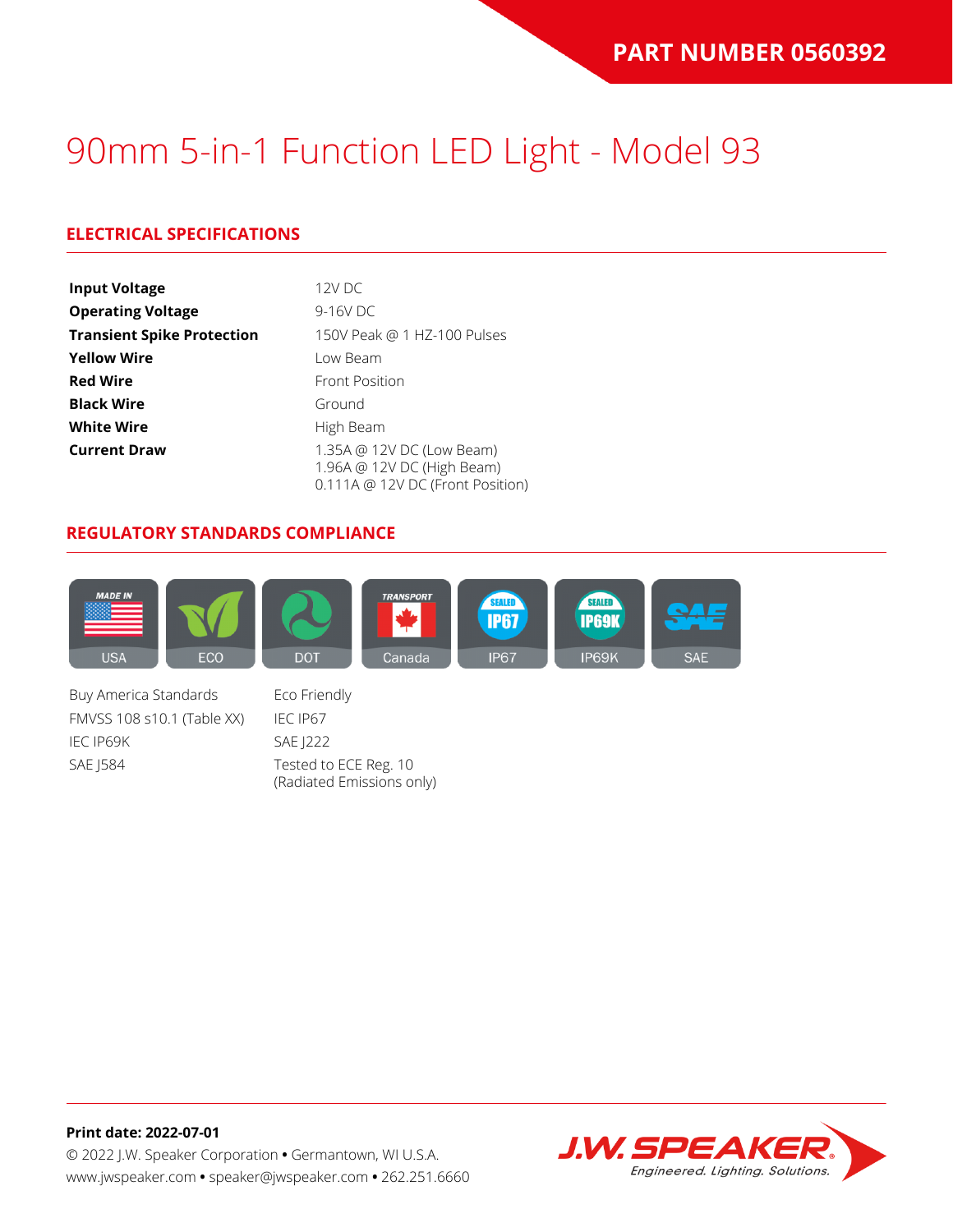## **ELECTRICAL SPECIFICATIONS**

| <b>Input Voltage</b>              | 12V DC                                                                                      |
|-----------------------------------|---------------------------------------------------------------------------------------------|
| <b>Operating Voltage</b>          | 9-16V DC                                                                                    |
| <b>Transient Spike Protection</b> | 150V Peak @ 1 HZ-100 Pulses                                                                 |
| <b>Yellow Wire</b>                | Low Beam                                                                                    |
| <b>Red Wire</b>                   | <b>Front Position</b>                                                                       |
| <b>Black Wire</b>                 | Ground                                                                                      |
| <b>White Wire</b>                 | High Beam                                                                                   |
| <b>Current Draw</b>               | 1.35A @ 12V DC (Low Beam)<br>1.96A @ 12V DC (High Beam)<br>0.111A @ 12V DC (Front Position) |

### **REGULATORY STANDARDS COMPLIANCE**



Buy America Standards Eco Friendly FMVSS 108 s10.1 (Table XX) IEC IP67 IEC IP69K SAE J222 SAE J584 Tested to ECE Reg. 10

(Radiated Emissions only)

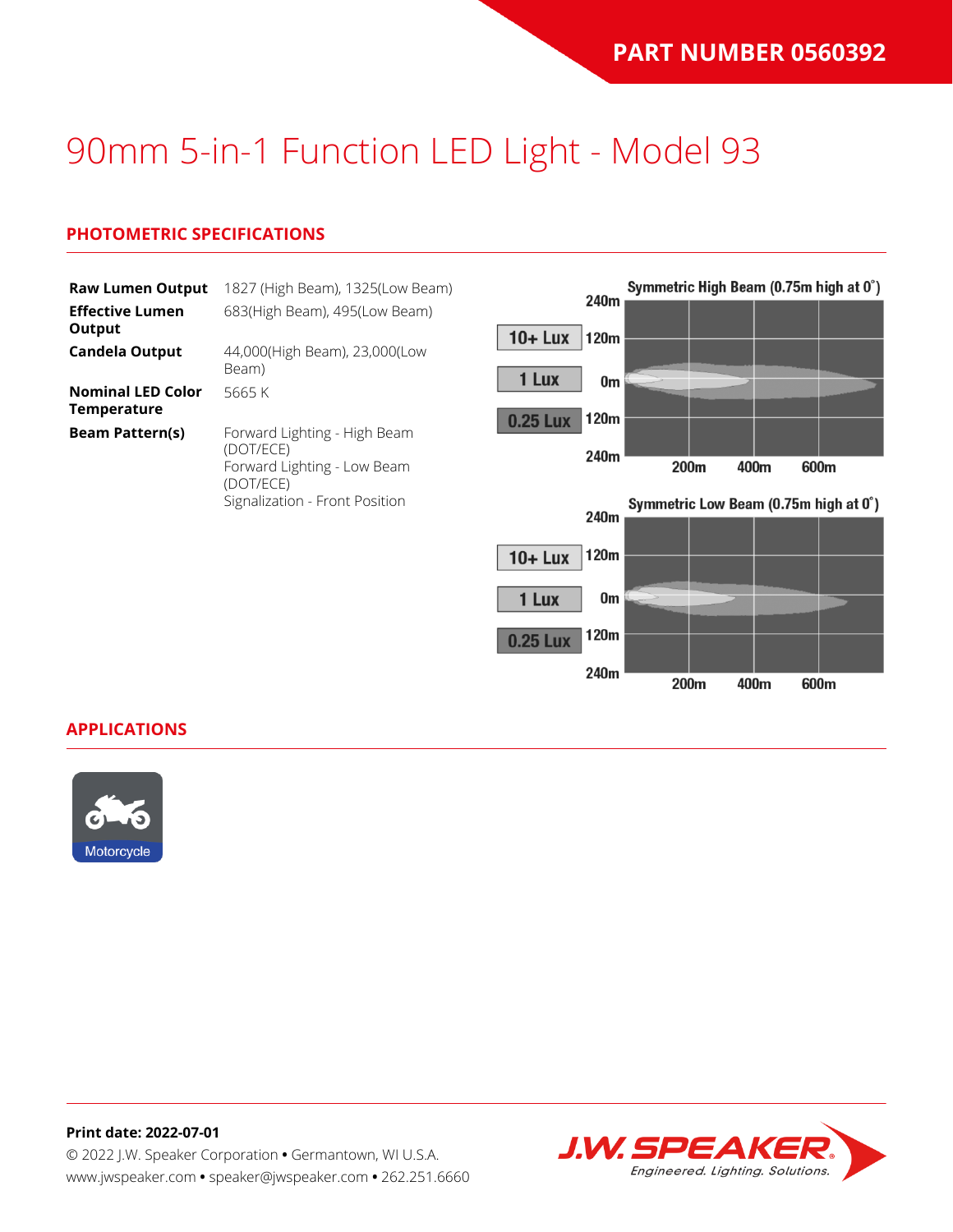### **PHOTOMETRIC SPECIFICATIONS**

| <b>Raw Lumen Output</b><br><b>Effective Lumen</b> | 1827 (High Beam), 1325(Low Beam)<br>683(High Beam), 495(Low Beam)                     | 240m                        |    |      |      |      | Symmetric High Beam (0.75m high at 0°) |
|---------------------------------------------------|---------------------------------------------------------------------------------------|-----------------------------|----|------|------|------|----------------------------------------|
| Output<br><b>Candela Output</b>                   | 44,000(High Beam), 23,000(Low<br>Beam)                                                | $10 +$ Lux<br>120m<br>1 Lux |    |      |      |      |                                        |
| <b>Nominal LED Color</b><br><b>Temperature</b>    | 5665K                                                                                 | 120m<br>0.25 Lux            | 0m |      |      |      |                                        |
| <b>Beam Pattern(s)</b>                            | Forward Lighting - High Beam<br>(DOT/ECE)<br>Forward Lighting - Low Beam<br>(DOT/ECE) | 240m                        |    | 200m | 400m | 600m |                                        |
|                                                   | Signalization - Front Position                                                        | 240m                        |    |      |      |      | Symmetric Low Beam (0.75m high at 0°)  |
|                                                   |                                                                                       | 120m<br>$10 +$ Lux<br>1 Lux | 0m |      |      |      |                                        |

120m

240m

200m

400m

600m

0.25 Lux

#### **APPLICATIONS**



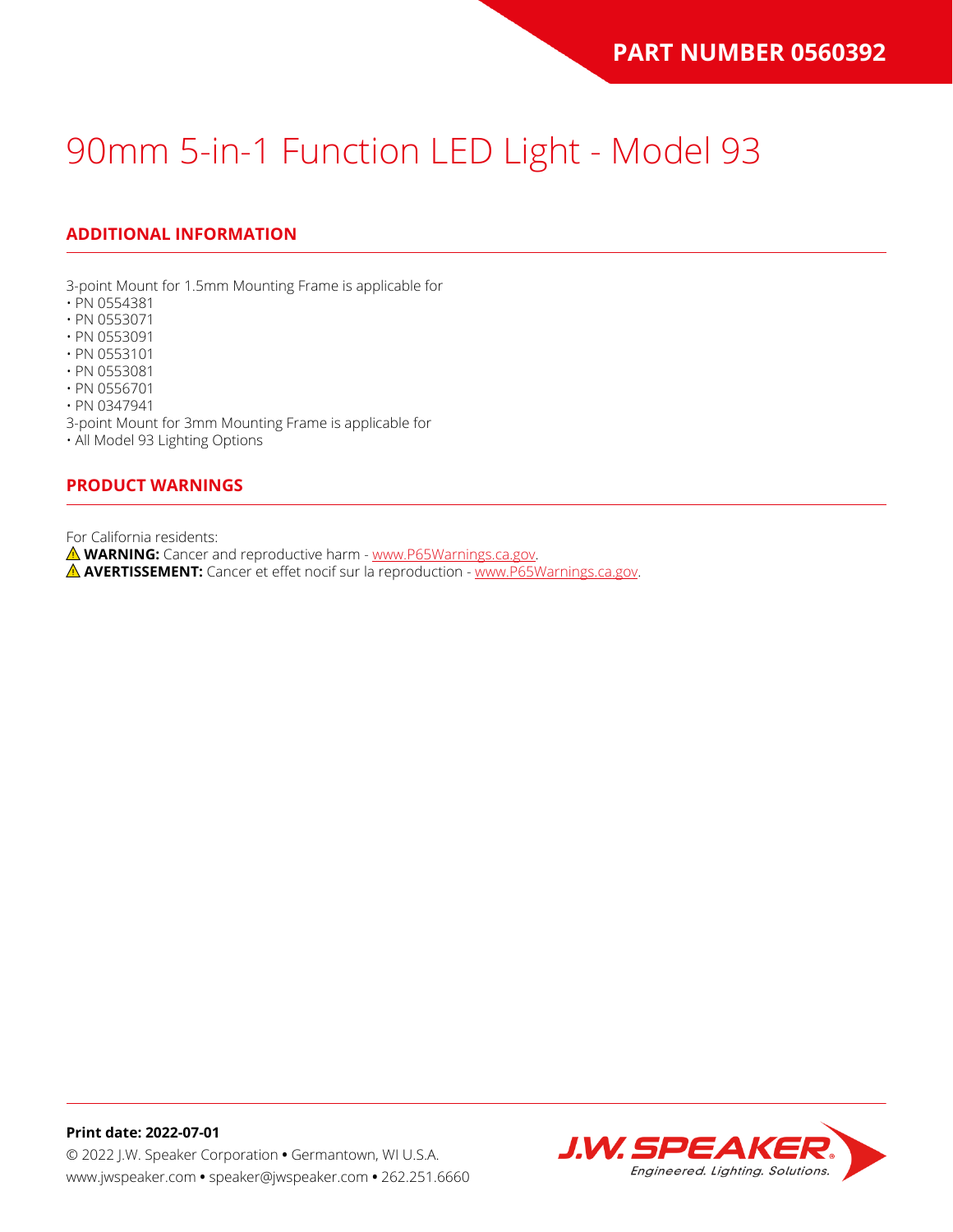## **ADDITIONAL INFORMATION**

3-point Mount for 1.5mm Mounting Frame is applicable for

- PN 0554381
- PN 0553071
- PN 0553091
- PN 0553101
- PN 0553081
- PN 0556701

• PN 0347941

3-point Mount for 3mm Mounting Frame is applicable for

• All Model 93 Lighting Options

#### **PRODUCT WARNINGS**

For California residents:

**WARNING:** Cancer and reproductive harm - [www.P65Warnings.ca.gov](https://www.p65warnings.ca.gov/).

**AVERTISSEMENT:** Cancer et effet nocif sur la reproduction - [www.P65Warnings.ca.gov.](https://www.p65warnings.ca.gov/)

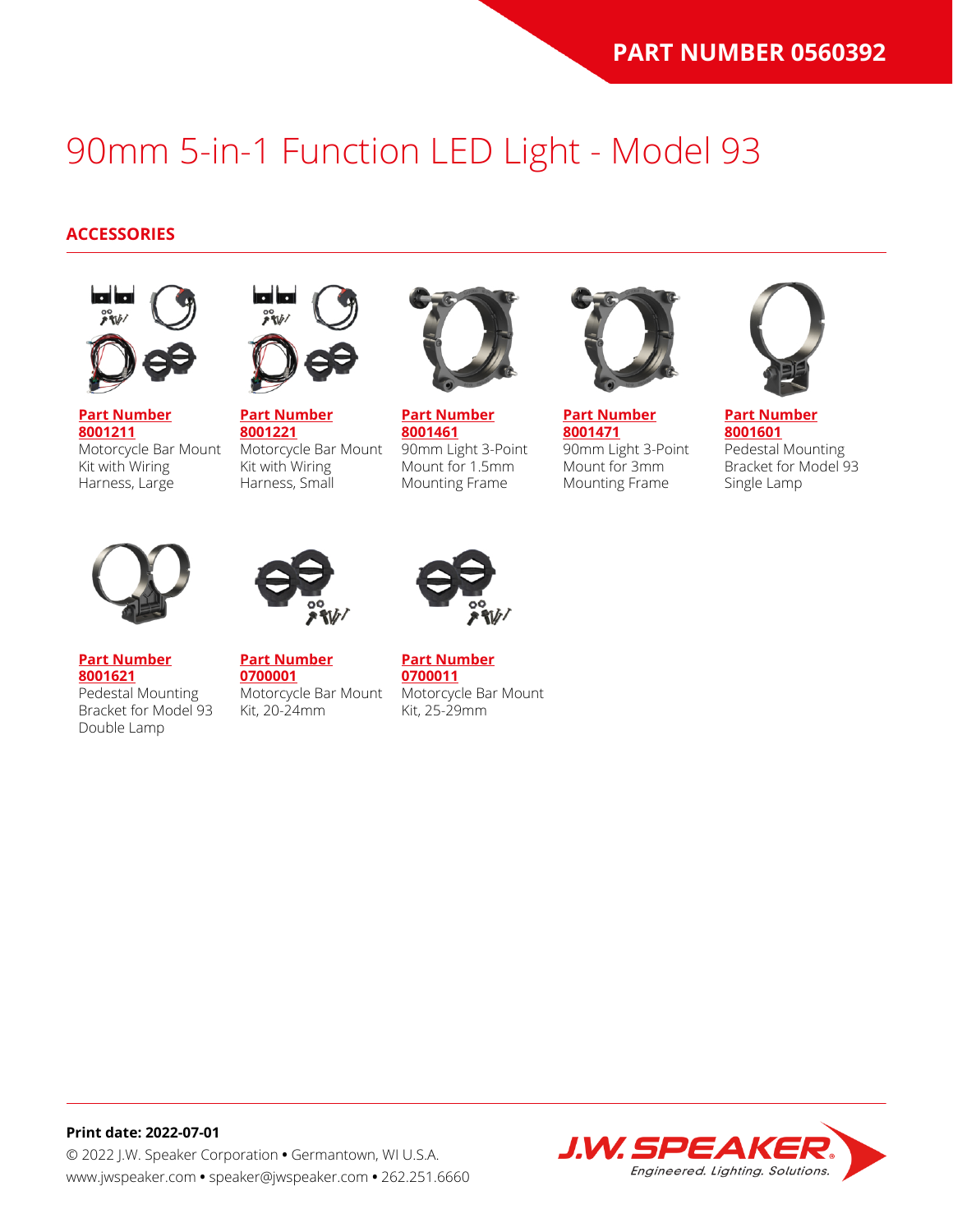### **ACCESSORIES**



**[Part Number](https://www.jwspeaker.com/products/90mm-headlights-model-93/8001211/) [8001211](https://www.jwspeaker.com/products/90mm-headlights-model-93/8001211/)** Motorcycle Bar Mount Kit with Wiring Harness, Large



**[Part Number](https://www.jwspeaker.com/products/90mm-headlights-model-93/8001221/) [8001221](https://www.jwspeaker.com/products/90mm-headlights-model-93/8001221/)** Motorcycle Bar Mount Kit with Wiring Harness, Small



**[Part Number](https://www.jwspeaker.com/products/90mm-headlights-model-93/8001461/) [8001461](https://www.jwspeaker.com/products/90mm-headlights-model-93/8001461/)** 90mm Light 3-Point Mount for 1.5mm Mounting Frame



**[Part Number](https://www.jwspeaker.com/products/90mm-headlights-model-93/8001471/) [8001471](https://www.jwspeaker.com/products/90mm-headlights-model-93/8001471/)** 90mm Light 3-Point Mount for 3mm Mounting Frame



**[Part Number](https://www.jwspeaker.com/products/90mm-headlights-model-93/8001601/) [8001601](https://www.jwspeaker.com/products/90mm-headlights-model-93/8001601/)** Pedestal Mounting Bracket for Model 93 Single Lamp



**[Part Number](https://www.jwspeaker.com/products/90mm-headlights-model-93/8001621/) [8001621](https://www.jwspeaker.com/products/90mm-headlights-model-93/8001621/)**

Double Lamp

Pedestal Mounting



**[Part Number](https://www.jwspeaker.com/?post_type=part&p=26513&preview=true) [0700001](https://www.jwspeaker.com/?post_type=part&p=26513&preview=true)** Bracket for Model 93 Motorcycle Bar Mount Kit, 20-24mm



**[Part Number](https://www.jwspeaker.com/?post_type=part&p=26512&preview=true) [0700011](https://www.jwspeaker.com/?post_type=part&p=26512&preview=true)** Motorcycle Bar Mount Kit, 25-29mm